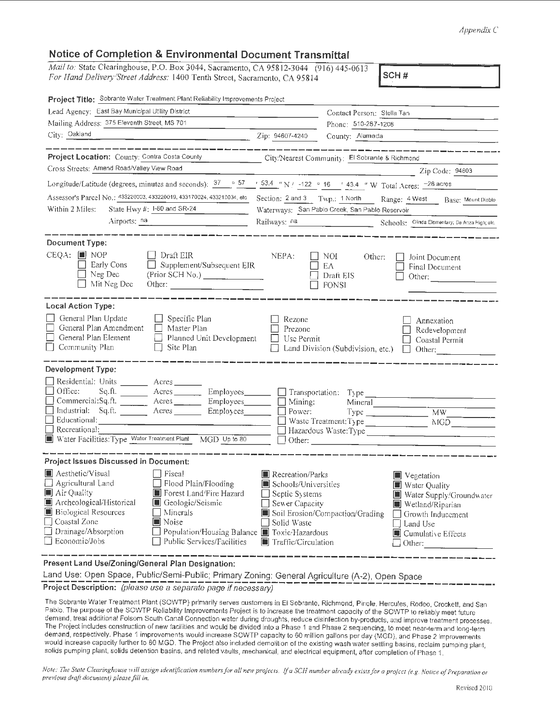## *Appendix* C

## **Notice of Completion & Environmental Document Transmittal**

*Mail to: State Clearinghouse, P.O. Box 3044, Sacramento, CA 95812-3044 (916) 445-0613* For Hand Delivery'Street Address: 1400 Tenth Street, Sacramento, CA 95814 **SCH#** 

| Project Title: Sobrante Water Treatment Plant Reliability Improvements Project                                                                                                                                                                                                                                                                                                                                                                             |                                                                                                                                                                                                                                                                                                                |
|------------------------------------------------------------------------------------------------------------------------------------------------------------------------------------------------------------------------------------------------------------------------------------------------------------------------------------------------------------------------------------------------------------------------------------------------------------|----------------------------------------------------------------------------------------------------------------------------------------------------------------------------------------------------------------------------------------------------------------------------------------------------------------|
| Lead Agency: East Bay Municipal Utility District                                                                                                                                                                                                                                                                                                                                                                                                           | Contact Person: Stella Tan                                                                                                                                                                                                                                                                                     |
| Mailing Address: 375 Eleventh Street, MS 701                                                                                                                                                                                                                                                                                                                                                                                                               | Phonc: 510-287-1208                                                                                                                                                                                                                                                                                            |
| City: Oakland<br><u> 1980 - Johann Barbara, martin a</u>                                                                                                                                                                                                                                                                                                                                                                                                   | Zip: 94607-4240<br>County: Alameda                                                                                                                                                                                                                                                                             |
| Project Location: County: Contra Costa County<br>Cross Streets; Amend Road/Valley View Road                                                                                                                                                                                                                                                                                                                                                                | City/Nearest Community: El Sobrante & Richmond<br>Zip Code: 94803                                                                                                                                                                                                                                              |
|                                                                                                                                                                                                                                                                                                                                                                                                                                                            |                                                                                                                                                                                                                                                                                                                |
| Longitude/Latitude (degrees, minutes and seconds): $37$ ° $57$ ' $53.4$ "N! -122 ° 16 ' 43.4 " W Total Acres: -28 acres                                                                                                                                                                                                                                                                                                                                    |                                                                                                                                                                                                                                                                                                                |
|                                                                                                                                                                                                                                                                                                                                                                                                                                                            | Assessor's Parcel No.: 433220003, 433220019, 433170024, 433210034, etc Section: 2 and 3 Twp.: 1 North Range: 4 West Base: Mount Diablo                                                                                                                                                                         |
| Within 2 Miles:<br>State Hwy #: I-80 and SR-24                                                                                                                                                                                                                                                                                                                                                                                                             | Waterways: San Pablo Creek, San Pablo Reservoir                                                                                                                                                                                                                                                                |
| Airports: na                                                                                                                                                                                                                                                                                                                                                                                                                                               | Railways: na Schools: Olinda Elementary: De Anza High; etc.                                                                                                                                                                                                                                                    |
| Document Type:<br>$CEQA:$ <b>I</b> NOP<br>Draft EIR<br>Supplement/Subsequent EIR<br>Early Cons<br>Neg Dec<br>Mit Neg Dec<br>Other: $\qquad \qquad$                                                                                                                                                                                                                                                                                                         | NEPA:<br>NOI<br>Other:<br>Joint Document<br>$\mathbf{I}$<br>$E\Lambda$<br>Final Document<br>Draft EIS<br>Other: $\qquad \qquad \qquad$<br>$\Box$ FONSI                                                                                                                                                         |
| Local Action Type:<br>General Plan Update<br>$\Box$ Specific Plan<br>General Plan Amendment<br>$\Box$ Master Plan<br>General Plan Element<br>Planned Unit Development<br>$\Box$<br>Community Plan<br>Site Plan<br>$\Box$                                                                                                                                                                                                                                   | Rezone<br>Annexation<br>Prezone<br>Redevelopment<br>Use Permit<br>Coastal Permit<br>Land Division (Subdivision, etc.)<br>$\Box$ Other:                                                                                                                                                                         |
| Development Type:<br>Residential: Units _________ Acres _______<br>$\Box$ Office:<br>Sq.fl.<br>Commercial:Sq.ft. _________ Acres ______<br>Employees_______<br>Industrial: Sq.ft _______ Acres _______ Employees_______<br>$\Box$ Educational:<br>Recreational:<br>Water Facilities: Type Water Treatment Plant MGD Up to 80                                                                                                                               | Acres Employees Stransportation: Type<br>$\Box$ Mining:<br>Mineral<br>$\Box$ Power:<br>$Type$ $MW$<br>Hazardous Waste: Type<br>Other:                                                                                                                                                                          |
| Project Issues Discussed in Document:<br>Aesthetic/Visual<br>$\Box$ Fiscal<br>$\Box$ Agricultural Land<br>Flood Plain/Flooding<br>$\blacksquare$ Air Quality<br>Forest Land'Fire Hazard<br>Archeological/Historical<br> ■ Geologic/Seismic<br><b>Biological Resources</b><br>Minerals<br>$\Box$ Coastal Zone<br>$\blacksquare$ Noise<br>Drainage/Absorption<br>Population/Housing Balance ■ Toxic/Hazardous<br>Economic/Jobs<br>Public Services/Facilities | Recreation/Parks<br>Vegetation<br>Schools/Universities<br>■ Water Quality<br>$\Box$ Septic Systems<br>Water Supply/Groundwater<br>Sewer Capacity<br>Wetland/Riparian<br>Soil Erosion/Compaction/Grading<br>Growth Inducement<br>Solid Waste<br>Land Use<br>Cumulative Effects<br>Traffic/Circulation<br>Other: |
| Present Land Use/Zoning/General Plan Designation:                                                                                                                                                                                                                                                                                                                                                                                                          |                                                                                                                                                                                                                                                                                                                |

Land Use: Open Space, Public/Semi-Public; Primary Zoning: General Agriculture (A-2), Open Space

**Project Description:** (please use a separate page if necessary)

The Sobrante Water Treatment Plant (SOWTP) primarily serves customers in El Sobrante, Richmond, Pinole, Hercules, Rodeo, Crockett, and San Pablo. The purpose of the SOWTP Reliability Improvements Project is to increase the treatment capacity of the SOWTP to reliably meet future demand, treat additional Folsom South Canal Connection water during droughts, reduce disinfection by-products, and improve treatment processes. The Project includes construction of new facilities and would be divided into a Phase 1 and Phase 2 sequencing, to meet near-term and long-term demand, respectively. Phase 1 improvements would increase SOWTP capacity to 60 million gallons per day (MGD), and Phase 2 improvements would increase capacity further to 80 MGD. The Project also included demolition of the existing wash water settling basins, reclaim pumping plant, solids pumping plant, solids detention basins, and related vaults, mechanical, and electrical equipment, after completion of Phase 1.

*Note: The State Clearinghouse will assign identification numbers for all new projects. If a SCH number already exists for a project (e.g. Notice of Preparation or previous draft document) please fill in.*